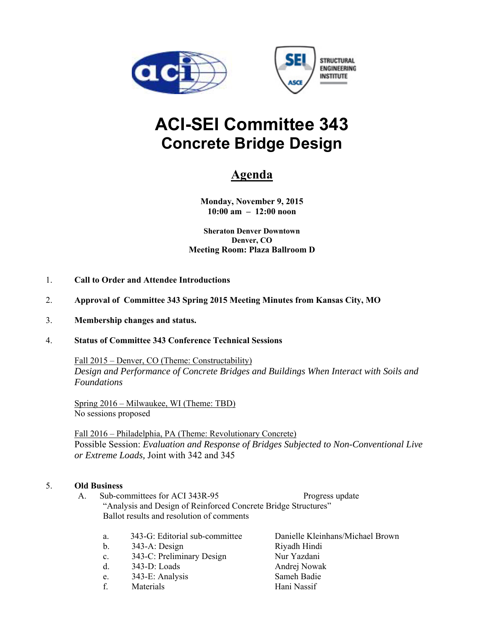



# **ACI-SEI Committee 343 Concrete Bridge Design**

## **Agenda**

**Monday, November 9, 2015 10:00 am – 12:00 noon** 

**Sheraton Denver Downtown Denver, CO Meeting Room: Plaza Ballroom D** 

- 1. **Call to Order and Attendee Introductions**
- 2. **Approval of Committee 343 Spring 2015 Meeting Minutes from Kansas City, MO**
- 3. **Membership changes and status.**

#### 4. **Status of Committee 343 Conference Technical Sessions**

 Fall 2015 – Denver, CO (Theme: Constructability) *Design and Performance of Concrete Bridges and Buildings When Interact with Soils and Foundations* 

Spring 2016 – Milwaukee, WI (Theme: TBD) No sessions proposed

Fall 2016 – Philadelphia, PA (Theme: Revolutionary Concrete) Possible Session: *Evaluation and Response of Bridges Subjected to Non-Conventional Live or Extreme Loads,* Joint with 342 and 345

#### 5. **Old Business**

- A. Sub-committees for ACI 343R-95 Progress update "Analysis and Design of Reinforced Concrete Bridge Structures" Ballot results and resolution of comments
	- a. 343-G: Editorial sub-committee Danielle Kleinhans/Michael Brown b. 343-A: Design Riyadh Hindi
	-
	- c. 343-C: Preliminary Design Nur Yazdani
	- d. 343-D: Loads Andrej Nowak
	- e. 343-E: Analysis Sameh Badie
	- f. Materials Hani Nassif